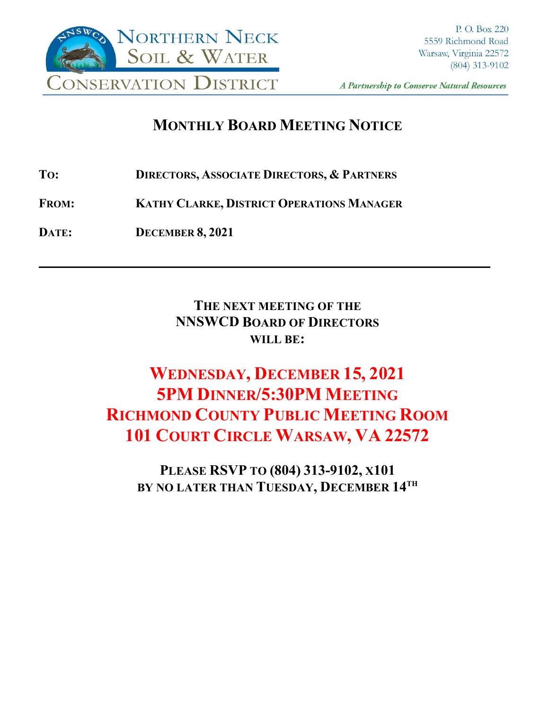

A Partnership to Conserve Natural Resources

**\_\_\_\_**

## **MONTHLY BOARD MEETING NOTICE**

- **TO: DIRECTORS, ASSOCIATE DIRECTORS, & PARTNERS**
- **FROM: KATHY CLARKE, DISTRICT OPERATIONS MANAGER**
- **DATE: DECEMBER 8, 2021**

**THE NEXT MEETING OF THE NNSWCD BOARD OF DIRECTORS WILL BE:**

# **WEDNESDAY, DECEMBER 15, 2021 5PM DINNER/5:30PM MEETING RICHMOND COUNTY PUBLIC MEETING ROOM 101 COURT CIRCLE WARSAW, VA 22572**

**PLEASE RSVP TO (804) 313-9102, X101 BY NO LATER THAN TUESDAY, DECEMBER 14TH**